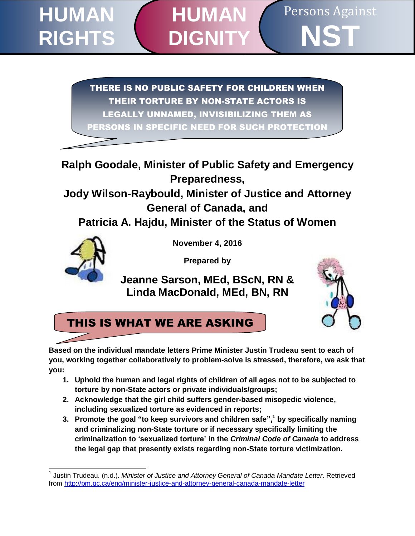#### Persons Against **NST HUMAN RIGHTS HUMAN DIGN**

THERE IS NO PUBLIC SAFETY FOR CHILDREN WHEN THEIR TORTURE BY NON-STATE ACTORS IS LEGALLY UNNAMED, INVISIBILIZING THEM AS PERSONS IN SPECIFIC NEED FOR SUCH PROTECTION

**Ralph Goodale, Minister of Public Safety and Emergency Preparedness,** 

**Jody Wilson-Raybould, Minister of Justice and Attorney General of Canada, and**

**Patricia A. Hajdu, Minister of the Status of Women**



**November 4, 2016**

**Prepared by** 

**Jeanne Sarson, MEd, BScN, RN & Linda MacDonald, MEd, BN, RN**





**Based on the individual mandate letters Prime Minister Justin Trudeau sent to each of you, working together collaboratively to problem-solve is stressed, therefore, we ask that you:**

- **1. Uphold the human and legal rights of children of all ages not to be subjected to torture by non-State actors or private individuals/groups;**
- **2. Acknowledge that the girl child suffers gender-based misopedic violence, including sexualized torture as evidenced in reports;**
- **3. Promote the goal "to keep survivors and children safe", <sup>1</sup> by specifically naming and criminalizing non-State torture or if necessary specifically limiting the criminalization to 'sexualized torture' in the** *Criminal Code of Canada* **to address the legal gap that presently exists regarding non-State torture victimization***.*

j 1 Justin Trudeau. (n.d.). *Minister of Justice and Attorney General of Canada Mandate Letter*. Retrieved from<http://pm.gc.ca/eng/minister-justice-and-attorney-general-canada-mandate-letter>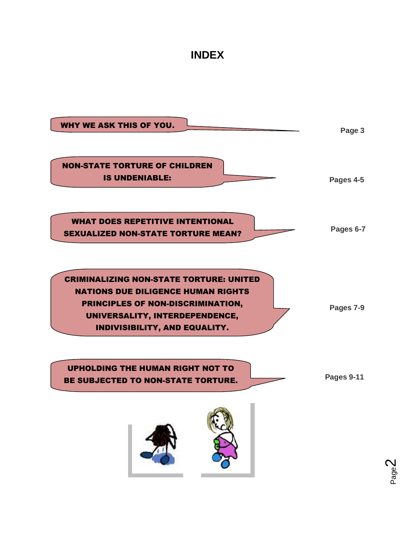### **INDEX**



Page  $\boldsymbol{\sim}$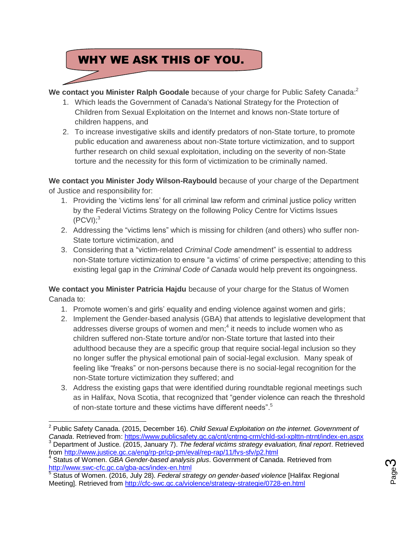### WHY WE ASK THIS OF YOU.

**We contact you Minister Ralph Goodale** because of your charge for Public Safety Canada: 2

- 1. Which leads the Government of Canada's National Strategy for the Protection of Children from Sexual Exploitation on the Internet and knows non-State torture of children happens, and
- 2. To increase investigative skills and identify predators of non-State torture, to promote public education and awareness about non-State torture victimization, and to support further research on child sexual exploitation, including on the severity of non-State torture and the necessity for this form of victimization to be criminally named.

**We contact you Minister Jody Wilson-Raybould** because of your charge of the Department of Justice and responsibility for:

- 1. Providing the 'victims lens' for all criminal law reform and criminal justice policy written by the Federal Victims Strategy on the following Policy Centre for Victims Issues  $(PCVI);^3$
- 2. Addressing the "victims lens" which is missing for children (and others) who suffer non-State torture victimization, and
- 3. Considering that a "victim-related *Criminal Code* amendment" is essential to address non-State torture victimization to ensure "a victims' of crime perspective; attending to this existing legal gap in the *Criminal Code of Canada* would help prevent its ongoingness*.*

**We contact you Minister Patricia Hajdu** because of your charge for the Status of Women Canada to:

- 1. Promote women's and girls' equality and ending violence against women and girls;
- 2. Implement the Gender-based analysis (GBA) that attends to legislative development that addresses diverse groups of women and men;<sup>4</sup> it needs to include women who as children suffered non-State torture and/or non-State torture that lasted into their adulthood because they are a specific group that require social-legal inclusion so they no longer suffer the physical emotional pain of social-legal exclusion. Many speak of feeling like "freaks" or non-persons because there is no social-legal recognition for the non-State torture victimization they suffered; and
- 3. Address the existing gaps that were identified during roundtable regional meetings such as in Halifax, Nova Scotia, that recognized that "gender violence can reach the threshold of non-state torture and these victims have different needs".<sup>5</sup>



<sup>2</sup> Public Safety Canada. (2015, December 16). *Child Sexual Exploitation on the internet. Government of* 

Canada. Retrieved from[: https://www.publicsafety.gc.ca/cnt/cntrng-crm/chld-sxl-xplttn-ntrnt/index-en.aspx](https://www.publicsafety.gc.ca/cnt/cntrng-crm/chld-sxl-xplttn-ntrnt/index-en.aspx) <sup>3</sup> Department of Justice. (2015, January 7). *The federal victims strategy evaluation, final report*. Retrieved from<http://www.justice.gc.ca/eng/rp-pr/cp-pm/eval/rep-rap/11/fvs-sfv/p2.html>

<sup>4</sup> Status of Women. *GBA Gender-based analysis plus*. Government of Canada. Retrieved from <http://www.swc-cfc.gc.ca/gba-acs/index-en.html>

<sup>5</sup> Status of Women. (2016, July 28). *Federal strategy on gender-based violence* [Halifax Regional Meeting]. Retrieved from<http://cfc-swc.gc.ca/violence/strategy-strategie/0728-en.html>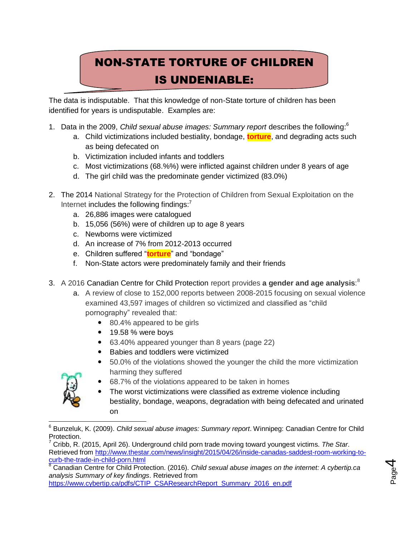# NON-STATE TORTURE OF CHILDREN IS UNDENIABLE:

The data is indisputable. That this knowledge of non-State torture of children has been identified for years is undisputable. Examples are:

- 1. Data in the 2009, *Child sexual abuse images: Summary report* describes the following:<sup>6</sup>
	- a. Child victimizations included bestiality, bondage, **torture**, and degrading acts such as being defecated on
	- b. Victimization included infants and toddlers
	- c. Most victimizations (68.%%) were inflicted against children under 8 years of age
	- d. The girl child was the predominate gender victimized (83.0%)
- 2. The 2014 National Strategy for the Protection of Children from Sexual Exploitation on the Internet includes the following findings:<sup>7</sup>
	- a. 26,886 images were catalogued
	- b. 15,056 (56%) were of children up to age 8 years
	- c. Newborns were victimized
	- d. An increase of 7% from 2012-2013 occurred
	- e. Children suffered "**torture**" and "bondage"
	- f. Non-State actors were predominately family and their friends
- 3. A 2016 Canadian Centre for Child Protection report provides **a gender and age analysis**: 8
	- a. A review of close to 152,000 reports between 2008-2015 focusing on sexual violence examined 43,597 images of children so victimized and classified as "child pornography" revealed that:
		- 80.4% appeared to be girls
		- 19.58 % were boys
		- 63.40% appeared younger than 8 years (page 22)
		- Babies and toddlers were victimized
		- 50.0% of the violations showed the younger the child the more victimization harming they suffered



- 68.7% of the violations appeared to be taken in homes
- The worst victimizations were classified as extreme violence including bestiality, bondage, weapons, degradation with being defecated and urinated on

<sup>8</sup> Canadian Centre for Child Protection. (2016). *Child sexual abuse images on the internet: A cybertip.ca analysis Summary of key findings*. Retrieved from

[https://www.cybertip.ca/pdfs/CTIP\\_CSAResearchReport\\_Summary\\_2016\\_en.pdf](https://www.cybertip.ca/pdfs/CTIP_CSAResearchReport_Summary_2016_en.pdf)



 <sup>6</sup> Bunzeluk, K. (2009). *Child sexual abuse images: Summary report*. Winnipeg: Canadian Centre for Child Protection.

<sup>7</sup> Cribb, R. (2015, April 26). Underground child porn trade moving toward youngest victims. *The Star*. Retrieved from [http://www.thestar.com/news/insight/2015/04/26/inside-canadas-saddest-room-working-to](http://www.thestar.com/news/insight/2015/04/26/inside-canadas-saddest-room-working-to-curb-the-trade-in-child-porn.html)[curb-the-trade-in-child-porn.html](http://www.thestar.com/news/insight/2015/04/26/inside-canadas-saddest-room-working-to-curb-the-trade-in-child-porn.html)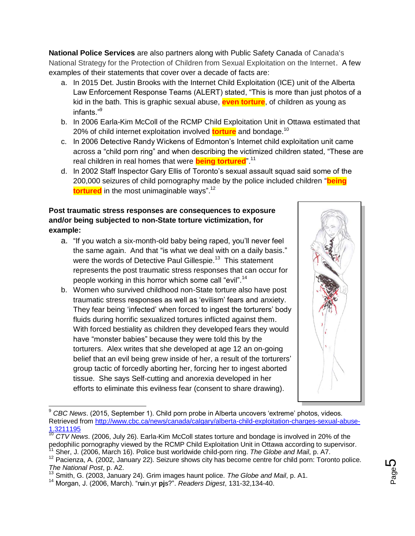**National Police Services** are also partners along with Public Safety Canada of Canada's National Strategy for the Protection of Children from Sexual Exploitation on the Internet. A few examples of their statements that cover over a decade of facts are:

- a. In 2015 Det. Justin Brooks with the Internet Child Exploitation (ICE) unit of the Alberta Law Enforcement Response Teams (ALERT) stated, "This is more than just photos of a kid in the bath. This is graphic sexual abuse, **even torture**, of children as young as infants."<sup>9</sup>
- b. In 2006 Earla-Kim McColl of the RCMP Child Exploitation Unit in Ottawa estimated that 20% of child internet exploitation involved **torture** and bondage.<sup>10</sup>
- c. In 2006 Detective Randy Wickens of Edmonton's Internet child exploitation unit came across a "child porn ring" and when describing the victimized children stated, "These are real children in real homes that were **being tortured**".<sup>11</sup>
- d. In 2002 Staff Inspector Gary Ellis of Toronto's sexual assault squad said some of the 200,000 seizures of child pornography made by the police included children "**being tortured** in the most unimaginable ways".<sup>12</sup>

#### **Post traumatic stress responses are consequences to exposure and/or being subjected to non-State torture victimization, for example:**

- a. "If you watch a six-month-old baby being raped, you'll never feel the same again. And that "is what we deal with on a daily basis." were the words of Detective Paul Gillespie.<sup>13</sup> This statement represents the post traumatic stress responses that can occur for people working in this horror which some call "evil".<sup>14</sup>
- b. Women who survived childhood non-State torture also have post traumatic stress responses as well as 'evilism' fears and anxiety. They fear being 'infected' when forced to ingest the torturers' body fluids during horrific sexualized tortures inflicted against them. With forced bestiality as children they developed fears they would have "monster babies" because they were told this by the torturers. Alex writes that she developed at age 12 an on-going belief that an evil being grew inside of her, a result of the torturers' group tactic of forcedly aborting her, forcing her to ingest aborted tissue. She says Self-cutting and anorexia developed in her efforts to eliminate this evilness fear (consent to share drawing).



 $\overline{a}$ <sup>9</sup> *CBC News*. (2015, September 1). Child porn probe in Alberta uncovers 'extreme' photos, videos. Retrieved from [http://www.cbc.ca/news/canada/calgary/alberta-child-exploitation-charges-sexual-abuse-](http://www.cbc.ca/news/canada/calgary/alberta-child-exploitation-charges-sexual-abuse-1.3211195)[1.3211195](http://www.cbc.ca/news/canada/calgary/alberta-child-exploitation-charges-sexual-abuse-1.3211195)

<sup>10</sup> *CTV News*. (2006, July 26). Earla-Kim McColl states torture and bondage is involved in 20% of the pedophilic pornography viewed by the RCMP Child Exploitation Unit in Ottawa according to supervisor. <sup>11</sup> Sher, J. (2006, March 16). Police bust worldwide child-porn ring. *The Globe and Mail*, p. A7.

<sup>12</sup> Pacienza, A. (2002, January 22). Seizure shows city has become centre for child porn: Toronto police. *The National Post*, p. A2.

<sup>13</sup> Smith, G. (2003, January 24). Grim images haunt police. *The Globe and Mail*, p. A1.

<sup>14</sup> Morgan, J. (2006, March). "r**u**in.yr **pj**s?". *Readers Digest*, 131-32,134-40.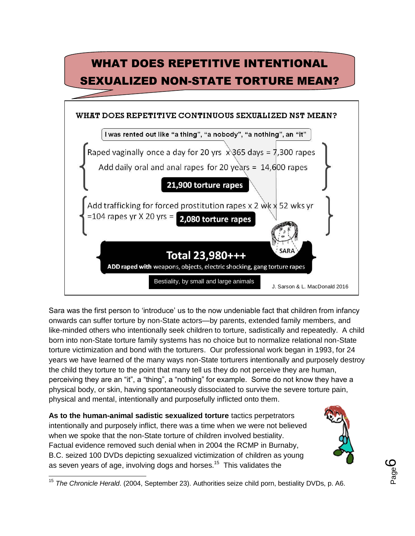

Sara was the first person to 'introduce' us to the now undeniable fact that children from infancy onwards can suffer torture by non-State actors—by parents, extended family members, and like-minded others who intentionally seek children to torture, sadistically and repeatedly. A child born into non-State torture family systems has no choice but to normalize relational non-State torture victimization and bond with the torturers. Our professional work began in 1993, for 24 years we have learned of the many ways non-State torturers intentionally and purposely destroy the child they torture to the point that many tell us they do not perceive they are human, perceiving they are an "it", a "thing", a "nothing" for example. Some do not know they have a physical body, or skin, having spontaneously dissociated to survive the severe torture pain, physical and mental, intentionally and purposefully inflicted onto them.

**As to the human-animal sadistic sexualized torture** tactics perpetrators intentionally and purposely inflict, there was a time when we were not believed when we spoke that the non-State torture of children involved bestiality. Factual evidence removed such denial when in 2004 the RCMP in Burnaby, B.C. seized 100 DVDs depicting sexualized victimization of children as young as seven years of age, involving dogs and horses.<sup>15</sup> This validates the

 $\overline{\phantom{a}}$ 



<sup>15</sup> *The Chronicle Herald*. (2004, September 23). Authorities seize child porn, bestiality DVDs, p. A6.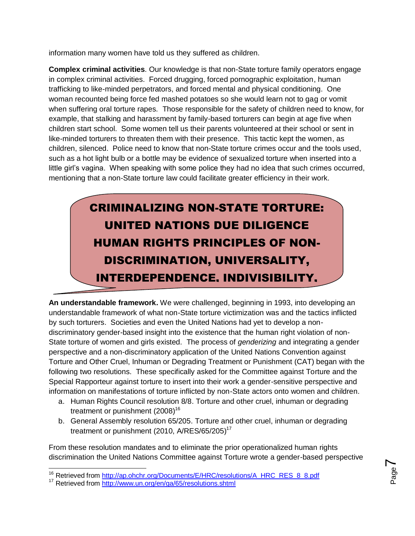information many women have told us they suffered as children.

**Complex criminal activities**. Our knowledge is that non-State torture family operators engage in complex criminal activities. Forced drugging, forced pornographic exploitation, human trafficking to like-minded perpetrators, and forced mental and physical conditioning. One woman recounted being force fed mashed potatoes so she would learn not to gag or vomit when suffering oral torture rapes. Those responsible for the safety of children need to know, for example, that stalking and harassment by family-based torturers can begin at age five when children start school. Some women tell us their parents volunteered at their school or sent in like-minded torturers to threaten them with their presence. This tactic kept the women, as children, silenced. Police need to know that non-State torture crimes occur and the tools used, such as a hot light bulb or a bottle may be evidence of sexualized torture when inserted into a little girl's vagina. When speaking with some police they had no idea that such crimes occurred, mentioning that a non-State torture law could facilitate greater efficiency in their work.

> CRIMINALIZING NON-STATE TORTURE: UNITED NATIONS DUE DILIGENCE HUMAN RIGHTS PRINCIPLES OF NON-DISCRIMINATION, UNIVERSALITY, INTERDEPENDENCE, INDIVISIBILITY,

**An understandable framework.** We were challenged, beginning in 1993, into developing an understandable framework of what non-State torture victimization was and the tactics inflicted by such torturers. Societies and even the United Nations had yet to develop a nondiscriminatory gender-based insight into the existence that the human right violation of non-State torture of women and girls existed. The process of *genderizing* and integrating a gender perspective and a non-discriminatory application of the United Nations Convention against Torture and Other Cruel, Inhuman or Degrading Treatment or Punishment (CAT) began with the following two resolutions. These specifically asked for the Committee against Torture and the Special Rapporteur against torture to insert into their work a gender-sensitive perspective and information on manifestations of torture inflicted by non-State actors onto women and children.  $\alpha$ 

- a. Human Rights Council resolution 8/8. Torture and other cruel, inhuman or degrading treatment or punishment  $(2008)^{16}$
- b. General Assembly resolution 65/205. Torture and other cruel, inhuman or degrading treatment or punishment (2010, A/RES/65/205)<sup>17</sup>

From these resolution mandates and to eliminate the prior operationalized human rights discrimination the United Nations Committee against Torture wrote a gender-based perspective

Page  $\blacktriangleright$ 

<sup>&</sup>lt;sup>16</sup> Retrieved from [http://ap.ohchr.org/Documents/E/HRC/resolutions/A\\_HRC\\_RES\\_8\\_8.pdf](http://ap.ohchr.org/Documents/E/HRC/resolutions/A_HRC_RES_8_8.pdf)

<sup>&</sup>lt;sup>17</sup> Retrieved from<http://www.un.org/en/ga/65/resolutions.shtml>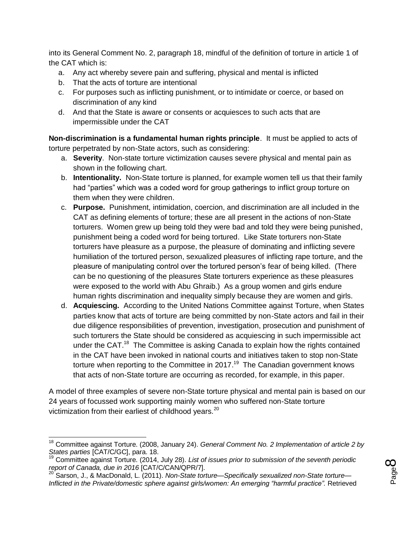into its General Comment No. 2, paragraph 18, mindful of the definition of torture in article 1 of the CAT which is:

- a. Any act whereby severe pain and suffering, physical and mental is inflicted
- b. That the acts of torture are intentional
- c. For purposes such as inflicting punishment, or to intimidate or coerce, or based on discrimination of any kind
- d. And that the State is aware or consents or acquiesces to such acts that are impermissible under the CAT

**Non-discrimination is a fundamental human rights principle**. It must be applied to acts of torture perpetrated by non-State actors, such as considering:

- a. **Severity**. Non-state torture victimization causes severe physical and mental pain as shown in the following chart.
- b. **Intentionality.** Non-State torture is planned, for example women tell us that their family had "parties" which was a coded word for group gatherings to inflict group torture on them when they were children.
- c. **Purpose.** Punishment, intimidation, coercion, and discrimination are all included in the CAT as defining elements of torture; these are all present in the actions of non-State torturers. Women grew up being told they were bad and told they were being punished, punishment being a coded word for being tortured. Like State torturers non-State torturers have pleasure as a purpose, the pleasure of dominating and inflicting severe humiliation of the tortured person, sexualized pleasures of inflicting rape torture, and the pleasure of manipulating control over the tortured person's fear of being killed. (There can be no questioning of the pleasures State torturers experience as these pleasures were exposed to the world with Abu Ghraib.) As a group women and girls endure human rights discrimination and inequality simply because they are women and girls.
- d. **Acquiescing.** According to the United Nations Committee against Torture, when States parties know that acts of torture are being committed by non-State actors and fail in their due diligence responsibilities of prevention, investigation, prosecution and punishment of such torturers the State should be considered as acquiescing in such impermissible act under the CAT.<sup>18</sup> The Committee is asking Canada to explain how the rights contained in the CAT have been invoked in national courts and initiatives taken to stop non-State torture when reporting to the Committee in 2017.<sup>19</sup> The Canadian government knows that acts of non-State torture are occurring as recorded, for example, in this paper.

A model of three examples of severe non-State torture physical and mental pain is based on our 24 years of focussed work supporting mainly women who suffered non-State torture victimization from their earliest of childhood years.<sup>20</sup>

$$
\mathsf{Page}\mathsf{S}
$$

 $\overline{\phantom{a}}$ <sup>18</sup> Committee against Torture. (2008, January 24). *General Comment No. 2 Implementation of article 2 by States parties* [CAT/C/GC], para. 18.

<sup>19</sup> Committee against Torture. (2014, July 28). *List of issues prior to submission of the seventh periodic report of Canada, due in 2016* [CAT/C/CAN/QPR/7].

<sup>20</sup> Sarson, J., & MacDonald, L. (2011). *Non-State torture—Specifically sexualized non-State torture— Inflicted in the Private/domestic sphere against girls/women: An emerging "harmful practice".* Retrieved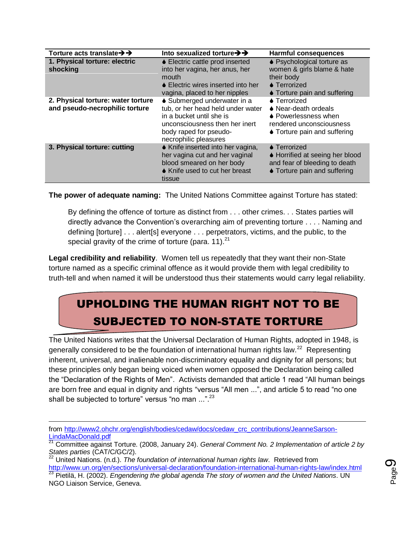| Torture acts translate $\rightarrow \rightarrow$                     | Into sexualized torture $\rightarrow \rightarrow$                                                                                                                                 | <b>Harmful consequences</b>                                                                                                      |
|----------------------------------------------------------------------|-----------------------------------------------------------------------------------------------------------------------------------------------------------------------------------|----------------------------------------------------------------------------------------------------------------------------------|
| 1. Physical torture: electric<br>shocking                            | ♦ Electric cattle prod inserted<br>into her vagina, her anus, her<br>mouth<br>♦ Electric wires inserted into her<br>vagina, placed to her nipples                                 | ♦ Psychological torture as<br>women & girls blame & hate<br>their body<br>$\bullet$ Terrorized<br>♦ Torture pain and suffering   |
| 2. Physical torture: water torture<br>and pseudo-necrophilic torture | • Submerged underwater in a<br>tub, or her head held under water<br>in a bucket until she is<br>unconsciousness then her inert<br>body raped for pseudo-<br>necrophilic pleasures | $\bullet$ Terrorized<br>• Near-death ordeals<br>♦ Powerlessness when<br>rendered unconsciousness<br>• Torture pain and suffering |
| 3. Physical torture: cutting                                         | ♦ Knife inserted into her vagina,<br>her vagina cut and her vaginal<br>blood smeared on her body<br>♦ Knife used to cut her breast<br>tissue                                      | $\bullet$ Terrorized<br>♦ Horrified at seeing her blood<br>and fear of bleeding to death<br>♦ Torture pain and suffering         |

**The power of adequate naming:** The United Nations Committee against Torture has stated:

By defining the offence of torture as distinct from . . . other crimes. . . States parties will directly advance the Convention's overarching aim of preventing torture . . . . Naming and defining [torture] . . . alert[s] everyone . . . perpetrators, victims, and the public, to the special gravity of the crime of torture (para.  $11$ ).<sup>21</sup>

**Legal credibility and reliability**. Women tell us repeatedly that they want their non-State torture named as a specific criminal offence as it would provide them with legal credibility to truth-tell and when named it will be understood thus their statements would carry legal reliability.

## UPHOLDING THE HUMAN RIGHT NOT TO BE SUBJECTED TO NON-STATE TORTURE

The United Nations writes that the Universal Declaration of Human Rights, adopted in 1948, is generally considered to be the foundation of international human rights law.<sup>22</sup> Representing inherent, universal, and inalienable non-discriminatory equality and dignity for all persons; but these principles only began being voiced when women opposed the Declaration being called the "Declaration of the Rights of Men". Activists demanded that article 1 read "All human beings are born free and equal in dignity and rights "versus "All men ...", and article 5 to read "no one shall be subjected to torture" versus "no man ...".<sup>23</sup>

<sup>23</sup> Pietilä, H. (2002). *Engendering the global agenda The story of women and the United Nations*. UN NGO Liaison Service, Geneva.



from [http://www2.ohchr.org/english/bodies/cedaw/docs/cedaw\\_crc\\_contributions/JeanneSarson-](http://www2.ohchr.org/english/bodies/cedaw/docs/cedaw_crc_contributions/JeanneSarson-LindaMacDonald.pdf)[LindaMacDonald.pdf](http://www2.ohchr.org/english/bodies/cedaw/docs/cedaw_crc_contributions/JeanneSarson-LindaMacDonald.pdf)

<sup>21</sup> Committee against Torture. (2008, January 24). *General Comment No. 2 Implementation of article 2 by States parties* (CAT/C/GC/2).

<sup>22</sup> United Nations. (n.d.). *The foundation of international human rights law*. Retrieved from <http://www.un.org/en/sections/universal-declaration/foundation-international-human-rights-law/index.html>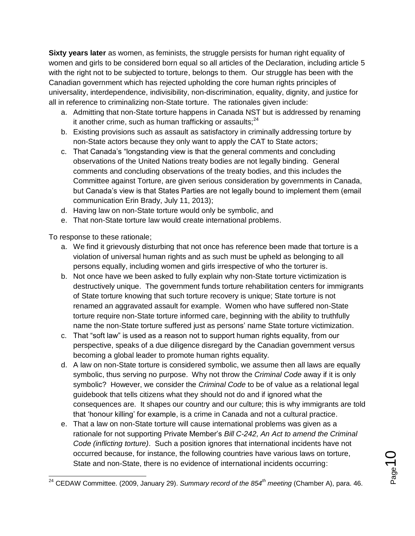**Sixty years later** as women, as feminists, the struggle persists for human right equality of women and girls to be considered born equal so all articles of the Declaration, including article 5 with the right not to be subjected to torture, belongs to them. Our struggle has been with the Canadian government which has rejected upholding the core human rights principles of universality, interdependence, indivisibility, non-discrimination, equality, dignity, and justice for all in reference to criminalizing non-State torture. The rationales given include:

- a. Admitting that non-State torture happens in Canada NST but is addressed by renaming it another crime, such as human trafficking or assaults; $^{24}$
- b. Existing provisions such as assault as satisfactory in criminally addressing torture by non-State actors because they only want to apply the CAT to State actors;
- c. That Canada's "longstanding view is that the general comments and concluding observations of the United Nations treaty bodies are not legally binding. General comments and concluding observations of the treaty bodies, and this includes the Committee against Torture, are given serious consideration by governments in Canada, but Canada's view is that States Parties are not legally bound to implement them (email communication Erin Brady, July 11, 2013);
- d. Having law on non-State torture would only be symbolic, and
- e. That non-State torture law would create international problems.

To response to these rationale;

- a. We find it grievously disturbing that not once has reference been made that torture is a violation of universal human rights and as such must be upheld as belonging to all persons equally, including women and girls irrespective of who the torturer is.
- b. Not once have we been asked to fully explain why non-State torture victimization is destructively unique. The government funds torture rehabilitation centers for immigrants of State torture knowing that such torture recovery is unique; State torture is not renamed an aggravated assault for example. Women who have suffered non-State torture require non-State torture informed care, beginning with the ability to truthfully name the non-State torture suffered just as persons' name State torture victimization.
- c. That "soft law" is used as a reason not to support human rights equality, from our perspective, speaks of a due diligence disregard by the Canadian government versus becoming a global leader to promote human rights equality.
- d. A law on non-State torture is considered symbolic, we assume then all laws are equally symbolic, thus serving no purpose. Why not throw the *Criminal Code* away if it is only symbolic? However, we consider the *Criminal Code* to be of value as a relational legal guidebook that tells citizens what they should not do and if ignored what the consequences are. It shapes our country and our culture; this is why immigrants are told that 'honour killing' for example, is a crime in Canada and not a cultural practice.
- e. That a law on non-State torture will cause international problems was given as a rationale for not supporting Private Member's *Bill C-242, An Act to amend the Criminal Code (inflicting torture)*. Such a position ignores that international incidents have not occurred because, for instance, the following countries have various laws on torture, State and non-State, there is no evidence of international incidents occurring:

 $\overline{\phantom{a}}$ <sup>24</sup> CEDAW Committee. (2009, January 29). *Summary record of the 854th meeting* (Chamber A), para. 46.